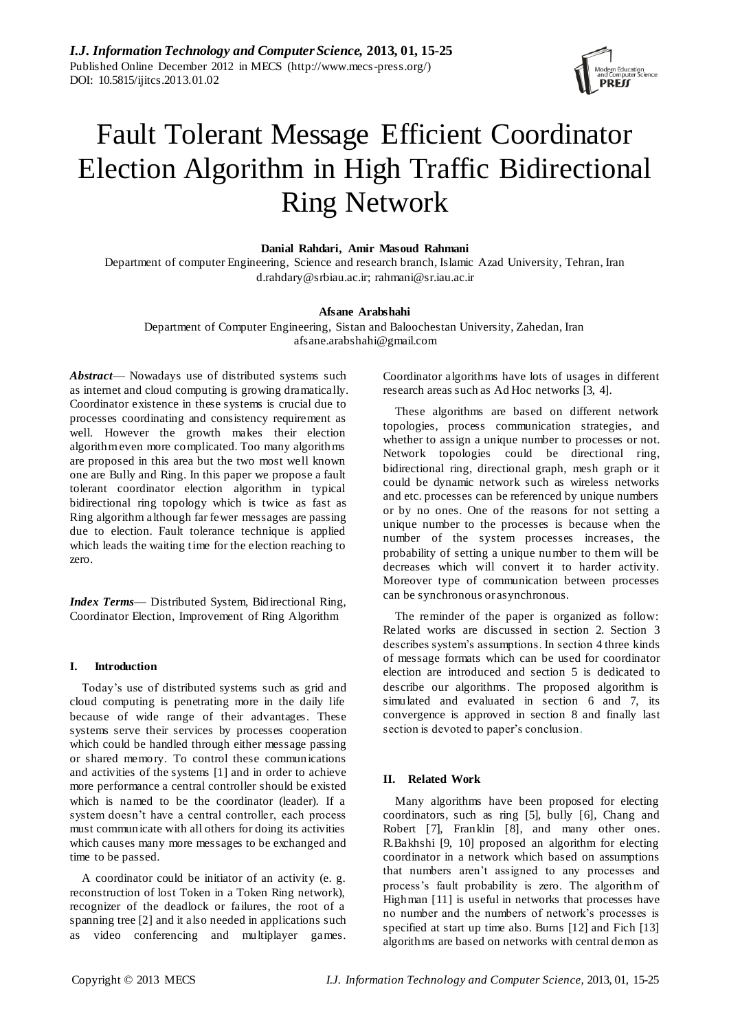

# Fault Tolerant Message Efficient Coordinator Election Algorithm in High Traffic Bidirectional Ring Network

**Danial Rahdari, Amir Masoud Rahmani**

Department of computer Engineering, Science and research branch, Islamic Azad University, Tehran, Iran d.rahdary@srbiau.ac.ir; rahmani@sr.iau.ac.ir

# **Afsane Arabshahi**

Department of Computer Engineering, Sistan and Baloochestan University, Zahedan, Iran afsane.arabshahi@gmail.com

*Abstract*— Nowadays use of distributed systems such as internet and cloud computing is growing dramatically. Coordinator existence in these systems is crucial due to processes coordinating and consistency requirement as well. However the growth makes their election algorithm even more complicated. Too many algorithms are proposed in this area but the two most well known one are Bully and Ring. In this paper we propose a fault tolerant coordinator election algorithm in typical bidirectional ring topology which is twice as fast as Ring algorithm although far fewer messages are passing due to election. Fault tolerance technique is applied which leads the waiting time for the election reaching to zero.

*Index Terms*— Distributed System, Bidirectional Ring, Coordinator Election, Improvement of Ring Algorithm

# **I. Introduction**

Today's use of distributed systems such as grid and cloud computing is penetrating more in the daily life because of wide range of their advantages. These systems serve their services by processes cooperation which could be handled through either message passing or shared memory. To control these communications and activities of the systems [1] and in order to achieve more performance a central controller should be existed which is named to be the coordinator (leader). If a system doesn't have a central controller, each process must communicate with all others for doing its activities which causes many more messages to be exchanged and time to be passed.

A coordinator could be initiator of an activity (e. g. reconstruction of lost Token in a Token Ring network), recognizer of the deadlock or failures, the root of a spanning tree [2] and it also needed in applications such as video conferencing and multiplayer games.

Coordinator algorithms have lots of usages in different research areas such as Ad Hoc networks [3, 4].

These algorithms are based on different network topologies, process communication strategies, and whether to assign a unique number to processes or not. Network topologies could be directional ring, bidirectional ring, directional graph, mesh graph or it could be dynamic network such as wireless networks and etc. processes can be referenced by unique numbers or by no ones. One of the reasons for not setting a unique number to the processes is because when the number of the system processes increases, the probability of setting a unique number to them will be decreases which will convert it to harder activity. Moreover type of communication between processes can be synchronous or asynchronous.

The reminder of the paper is organized as follow: Related works are discussed in section 2. Section 3 describes system's assumptions. In section 4 three kinds of message formats which can be used for coordinator election are introduced and section 5 is dedicated to describe our algorithms. The proposed algorithm is simulated and evaluated in section 6 and 7, its convergence is approved in section 8 and finally last section is devoted to paper's conclusion.

# **II. Related Work**

Many algorithms have been proposed for electing coordinators, such as ring [5], bully [6], Chang and Robert [7], Franklin [8], and many other ones. R.Bakhshi [9, 10] proposed an algorithm for electing coordinator in a network which based on assumptions that numbers aren't assigned to any processes and process's fault probability is zero. The algorithm of Highman [11] is useful in networks that processes have no number and the numbers of network's processes is specified at start up time also. Burns [12] and Fich [13] algorithms are based on networks with central demon as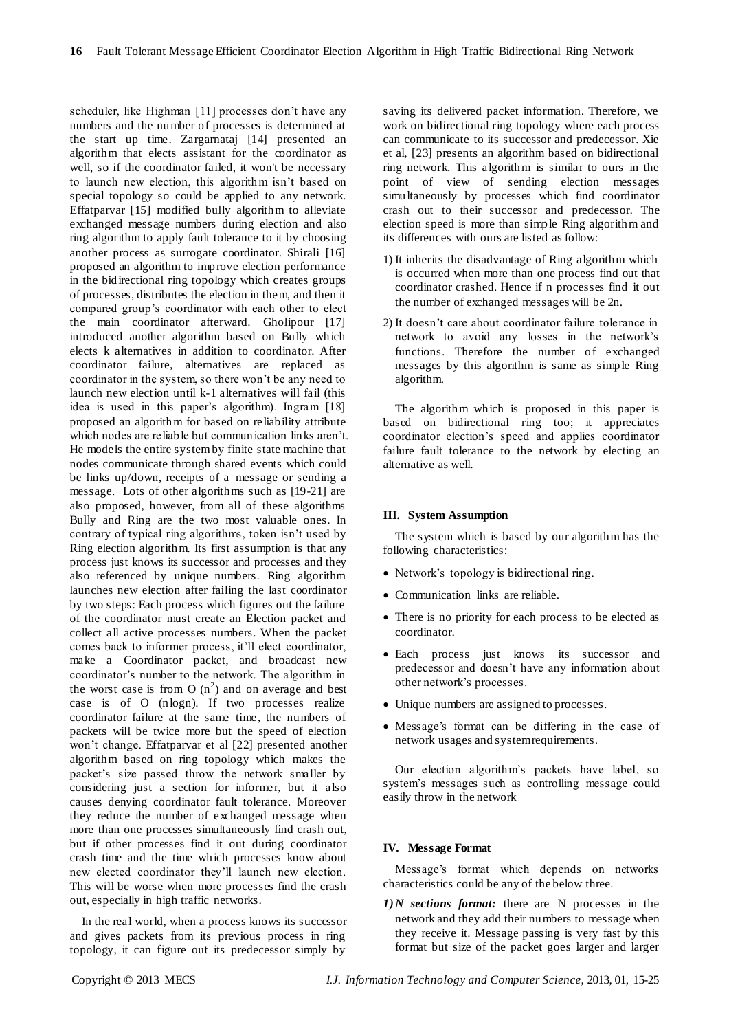scheduler, like Highman [11] processes don't have any numbers and the number of processes is determined at the start up time. Zargarnataj [14] presented an algorithm that elects assistant for the coordinator as well, so if the coordinator failed, it won't be necessary to launch new election, this algorithm isn't based on special topology so could be applied to any network. Effatparvar [15] modified bully algorithm to alleviate exchanged message numbers during election and also ring algorithm to apply fault tolerance to it by choosing another process as surrogate coordinator. Shirali [16] proposed an algorithm to improve election performance in the bidirectional ring topology which creates groups of processes, distributes the election in them, and then it compared group's coordinator with each other to elect the main coordinator afterward. Gholipour [17] introduced another algorithm based on Bully which elects k alternatives in addition to coordinator. After coordinator failure, alternatives are replaced as coordinator in the system, so there won't be any need to launch new election until k-1 alternatives will fail (this idea is used in this paper's algorithm). Ingram [18] proposed an algorithm for based on reliability attribute which nodes are reliable but communication links aren't. He models the entire system by finite state machine that nodes communicate through shared events which could be links up/down, receipts of a message or sending a message. Lots of other algorithms such as [19-21] are also proposed, however, from all of these algorithms Bully and Ring are the two most valuable ones. In contrary of typical ring algorithms, token isn't used by Ring election algorithm. Its first assumption is that any process just knows its successor and processes and they also referenced by unique numbers. Ring algorithm launches new election after failing the last coordinator by two steps: Each process which figures out the failure of the coordinator must create an Election packet and collect all active processes numbers. When the packet comes back to informer process, it'll elect coordinator, make a Coordinator packet, and broadcast new coordinator's number to the network. The algorithm in the worst case is from O  $(n^2)$  and on average and best case is of O (nlogn). If two processes realize coordinator failure at the same time, the numbers of packets will be twice more but the speed of election won't change. Effatparvar et al [22] presented another algorithm based on ring topology which makes the packet's size passed throw the network smaller by considering just a section for informer, but it also causes denying coordinator fault tolerance. Moreover they reduce the number of exchanged message when more than one processes simultaneously find crash out, but if other processes find it out during coordinator crash time and the time which processes know about new elected coordinator they'll launch new election. This will be worse when more processes find the crash out, especially in high traffic networks.

In the real world, when a process knows its successor and gives packets from its previous process in ring topology, it can figure out its predecessor simply by

saving its delivered packet information. Therefore, we work on bidirectional ring topology where each process can communicate to its successor and predecessor. Xie et al, [23] presents an algorithm based on bidirectional ring network. This algorithm is similar to ours in the point of view of sending election messages simultaneously by processes which find coordinator crash out to their successor and predecessor. The election speed is more than simple Ring algorithm and its differences with ours are listed as follow:

- 1) It inherits the disadvantage of Ring algorithm which is occurred when more than one process find out that coordinator crashed. Hence if n processes find it out the number of exchanged messages will be 2n.
- 2) It doesn't care about coordinator failure tolerance in network to avoid any losses in the network's functions. Therefore the number of exchanged messages by this algorithm is same as simple Ring algorithm.

The algorithm which is proposed in this paper is based on bidirectional ring too; it appreciates coordinator election's speed and applies coordinator failure fault tolerance to the network by electing an alternative as well.

#### **III. System Assumption**

The system which is based by our algorithm has the following characteristics:

- Network's topology is bidirectional ring.
- Communication links are reliable.
- There is no priority for each process to be elected as coordinator.
- Each process just knows its successor and predecessor and doesn't have any information about other network's processes.
- Unique numbers are assigned to processes.
- Message's format can be differing in the case of network usages and system requirements.

Our election algorithm's packets have label, so system's messages such as controlling message could easily throw in the network

#### **IV. Message Format**

Message's format which depends on networks characteristics could be any of the below three.

*1)N sections format:* there are N processes in the network and they add their numbers to message when they receive it. Message passing is very fast by this format but size of the packet goes larger and larger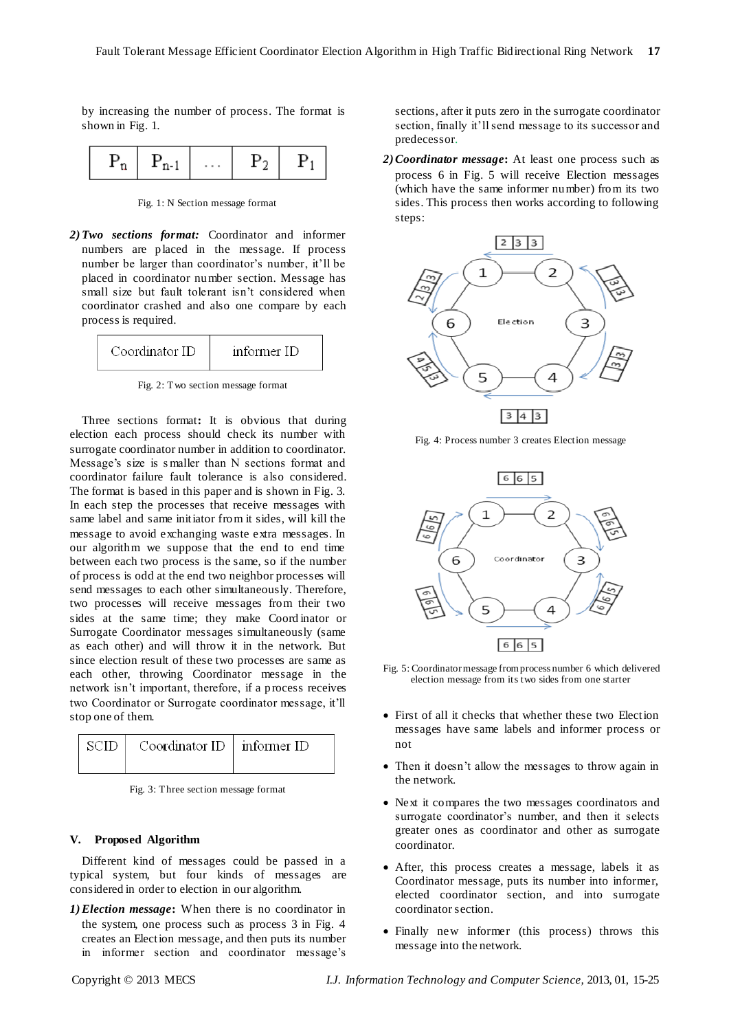by increasing the number of process. The format is shown in Fig. 1.

|  | ٠<br>٠ |  |  |
|--|--------|--|--|
|--|--------|--|--|

Fig. 1: N Section message format

*2)Two sections format:* Coordinator and informer numbers are placed in the message. If process number be larger than coordinator's number, it'll be placed in coordinator number section. Message has small size but fault tolerant isn't considered when coordinator crashed and also one compare by each process is required.



Fig. 2: Two section message format

Three sections format**:** It is obvious that during election each process should check its number with surrogate coordinator number in addition to coordinator. Message's size is s maller than N sections format and coordinator failure fault tolerance is also considered. The format is based in this paper and is shown in Fig. 3. In each step the processes that receive messages with same label and same initiator from it sides, will kill the message to avoid exchanging waste extra messages. In our algorithm we suppose that the end to end time between each two process is the same, so if the number of process is odd at the end two neighbor processes will send messages to each other simultaneously. Therefore, two processes will receive messages from their two sides at the same time; they make Coord inator or Surrogate Coordinator messages simultaneously (same as each other) and will throw it in the network. But since election result of these two processes are same as each other, throwing Coordinator message in the network isn't important, therefore, if a process receives two Coordinator or Surrogate coordinator message, it'll stop one of them.



Fig. 3: Three section message format

# **V. Proposed Algorithm**

Different kind of messages could be passed in a typical system, but four kinds of messages are considered in order to election in our algorithm.

*1)Election message***:** When there is no coordinator in the system, one process such as process 3 in Fig. 4 creates an Election message, and then puts its number in informer section and coordinator message's

sections, after it puts zero in the surrogate coordinator section, finally it'll send message to its successor and predecessor.

*2)Coordinator message***:** At least one process such as process 6 in Fig. 5 will receive Election messages (which have the same informer number) from its two sides. This process then works according to following steps:



Fig. 4: Process number 3 creates Election message



- Fig. 5: Coordinator message from process number 6 which delivered election message from its two sides from one starter
- First of all it checks that whether these two Election messages have same labels and informer process or not
- Then it doesn't allow the messages to throw again in the network.
- Next it compares the two messages coordinators and surrogate coordinator's number, and then it selects greater ones as coordinator and other as surrogate coordinator.
- After, this process creates a message, labels it as Coordinator message, puts its number into informer, elected coordinator section, and into surrogate coordinator section.
- Finally new informer (this process) throws this message into the network.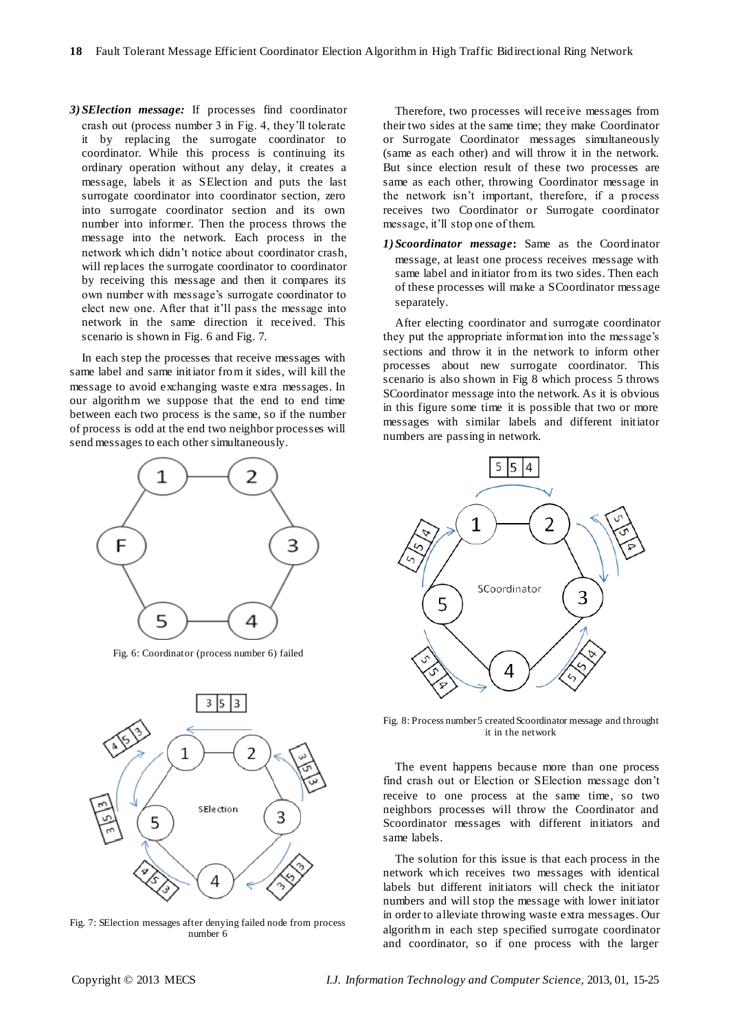*3)SElection message:* If processes find coordinator crash out (process number 3 in Fig. 4, they'll tolerate it by replacing the surrogate coordinator to coordinator. While this process is continuing its ordinary operation without any delay, it creates a message, labels it as SElection and puts the last surrogate coordinator into coordinator section, zero into surrogate coordinator section and its own number into informer. Then the process throws the message into the network. Each process in the network which didn't notice about coordinator crash, will replaces the surrogate coordinator to coordinator by receiving this message and then it compares its own number with message's surrogate coordinator to elect new one. After that it'll pass the message into network in the same direction it received. This scenario is shown in Fig. 6 and Fig. 7.

In each step the processes that receive messages with same label and same initiator from it sides, will kill the message to avoid exchanging waste extra messages. In our algorithm we suppose that the end to end time between each two process is the same, so if the number of process is odd at the end two neighbor processes will send messages to each other simultaneously.



Fig. 6: Coordinator (process number 6) failed



Fig. 7: SElection messages after denying failed node from process number 6

Therefore, two processes will receive messages from their two sides at the same time; they make Coordinator or Surrogate Coordinator messages simultaneously (same as each other) and will throw it in the network. But since election result of these two processes are same as each other, throwing Coordinator message in the network isn't important, therefore, if a process receives two Coordinator or Surrogate coordinator message, it'll stop one of them.

*1)Scoordinator message***:** Same as the Coordinator message, at least one process receives message with same label and initiator from its two sides. Then each of these processes will make a SCoordinator message separately.

After electing coordinator and surrogate coordinator they put the appropriate information into the message's sections and throw it in the network to inform other processes about new surrogate coordinator. This scenario is also shown in Fig 8 which process 5 throws SCoordinator message into the network. As it is obvious in this figure some time it is possible that two or more messages with similar labels and different initiator numbers are passing in network.



Fig. 8: Process number 5 created Scoordinator message and throught it in the network

The event happens because more than one process find crash out or Election or SElection message don't receive to one process at the same time, so two neighbors processes will throw the Coordinator and Scoordinator messages with different initiators and same labels.

The solution for this issue is that each process in the network which receives two messages with identical labels but different initiators will check the initiator numbers and will stop the message with lower initiator in order to alleviate throwing waste extra messages. Our algorithm in each step specified surrogate coordinator and coordinator, so if one process with the larger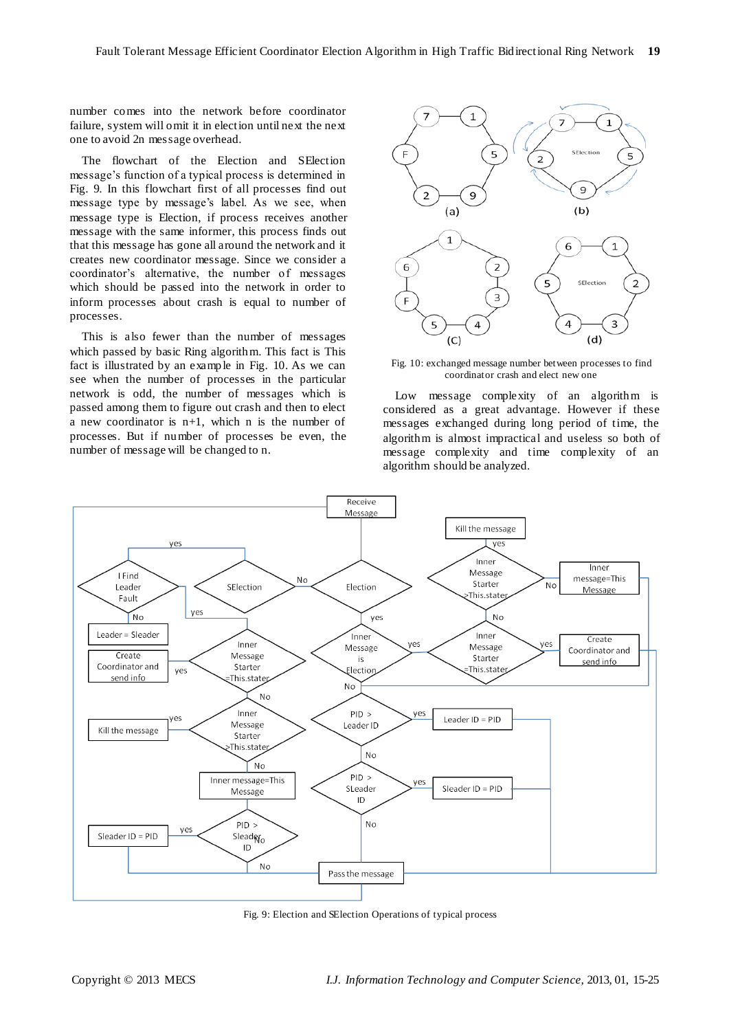number comes into the network before coordinator failure, system will omit it in election until next the next one to avoid 2n message overhead.

The flowchart of the Election and SElection message's function of a typical process is determined in Fig. 9. In this flowchart first of all processes find out message type by message's label. As we see, when message type is Election, if process receives another message with the same informer, this process finds out that this message has gone all around the network and it creates new coordinator message. Since we consider a coordinator's alternative, the number of messages which should be passed into the network in order to inform processes about crash is equal to number of processes.

This is also fewer than the number of messages which passed by basic Ring algorithm. This fact is This fact is illustrated by an example in Fig. 10. As we can see when the number of processes in the particular network is odd, the number of messages which is passed among them to figure out crash and then to elect a new coordinator is n+1, which n is the number of processes. But if number of processes be even, the number of message will be changed to n.



Fig. 10: exchanged message number between processes to find coordinator crash and elect new one

Low message complexity of an algorithm is considered as a great advantage. However if these messages exchanged during long period of time, the algorithm is almost impractical and useless so both of message complexity and time complexity of an algorithm should be analyzed.



Fig. 9: Election and SElection Operations of typical process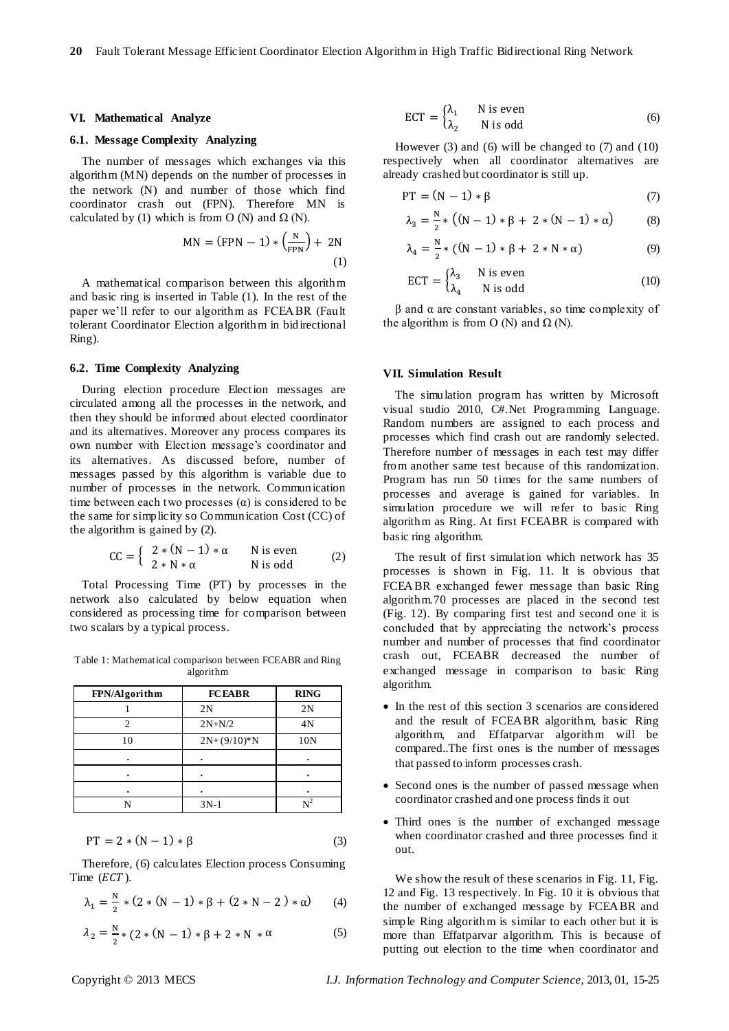#### **VI. Mathematical Analyze**

#### **6.1. Message Complexity Analyzing**

The number of messages which exchanges via this algorithm (MN) depends on the number of processes in the network (N) and number of those which find coordinator crash out (FPN). Therefore MN is calculated by (1) which is from O (N) and  $\Omega$  (N).

$$
MN = (FPN - 1) * \left(\frac{N}{FPN}\right) + 2N
$$
  
(1)

A mathematical comparison between this algorithm and basic ring is inserted in Table (1). In the rest of the paper we'll refer to our algorithm as FCEABR (Fault tolerant Coordinator Election algorithm in bidirectional Ring).

## **6.2. Time Complexity Analyzing**

During election procedure Election messages are circulated among all the processes in the network, and then they should be informed about elected coordinator and its alternatives. Moreover any process compares its own number with Election message's coordinator and its alternatives. As discussed before, number of messages passed by this algorithm is variable due to number of processes in the network. Communication time between each two processes  $(\alpha)$  is considered to be the same for simplicity so Communication Cost (CC) of the algorithm is gained by (2).

$$
CC = \left\{ \begin{array}{ll} 2*(N-1)*\alpha & \text{N is even} \\ 2*N*\alpha & \text{N is odd} \end{array} \right. \tag{2}
$$

Total Processing Time (PT) by processes in the network also calculated by below equation when considered as processing time for comparison between two scalars by a typical process.

Table 1: Mathematical comparison between FCEABR and Ring algorithm

| FPN/Algorithm | <b>FCEABR</b> | <b>RING</b> |
|---------------|---------------|-------------|
|               | 2N            | 2N          |
|               | $2N + N/2$    | 4N          |
| 10            | $2N+(9/10)*N$ | 10N         |
|               |               |             |
|               |               |             |
|               |               |             |
|               | $3N-1$        | $r^2$       |

$$
PT = 2 * (N - 1) * \beta \tag{3}
$$

Therefore, (6) calculates Election process Consuming Time  $(ECT)$ .

$$
\lambda_1 = \frac{N}{2} * (2 * (N - 1) * \beta + (2 * N - 2) * \alpha)
$$
 (4)

$$
\lambda_2 = \frac{N}{2} * (2 * (N - 1) * \beta + 2 * N * \alpha \tag{5}
$$

$$
ECT = \begin{cases} \lambda_1 & \text{N is even} \\ \lambda_2 & \text{N is odd} \end{cases}
$$
 (6)

However (3) and (6) will be changed to (7) and (10) respectively when all coordinator alternatives are already crashed but coordinator is still up.

$$
PT = (N - 1) * \beta \tag{7}
$$

$$
\lambda_3 = \frac{N}{2} * ((N - 1) * \beta + 2 * (N - 1) * \alpha)
$$
 (8)

$$
\lambda_4 = \frac{N}{2} * ((N - 1) * \beta + 2 * N * \alpha)
$$
 (9)

$$
ECT = \begin{cases} \lambda_3 & \text{N is even} \\ \lambda_4 & \text{N is odd} \end{cases}
$$
 (10)

β and α are constant variables, so time complexity of the algorithm is from O (N) and  $\Omega$  (N).

## **VII. Simulation Result**

The simulation program has written by Microsoft visual studio 2010, C#.Net Programming Language. Random numbers are assigned to each process and processes which find crash out are randomly selected. Therefore number of messages in each test may differ from another same test because of this randomization. Program has run 50 times for the same numbers of processes and average is gained for variables. In simulation procedure we will refer to basic Ring algorithm as Ring. At first FCEABR is compared with basic ring algorithm.

The result of first simulation which network has 35 processes is shown in Fig. 11. It is obvious that FCEABR exchanged fewer message than basic Ring algorithm.70 processes are placed in the second test (Fig. 12). By comparing first test and second one it is concluded that by appreciating the network's process number and number of processes that find coordinator crash out, FCEABR decreased the number of exchanged message in comparison to basic Ring algorithm.

- In the rest of this section 3 scenarios are considered and the result of FCEABR algorithm, basic Ring algorithm, and Effatparvar algorithm will be compared..The first ones is the number of messages that passed to inform processes crash.
- Second ones is the number of passed message when coordinator crashed and one process finds it out
- Third ones is the number of exchanged message when coordinator crashed and three processes find it out.

We show the result of these scenarios in Fig. 11, Fig. 12 and Fig. 13 respectively. In Fig. 10 it is obvious that the number of exchanged message by FCEABR and simple Ring algorithm is similar to each other but it is more than Effatparvar algorithm. This is because of putting out election to the time when coordinator and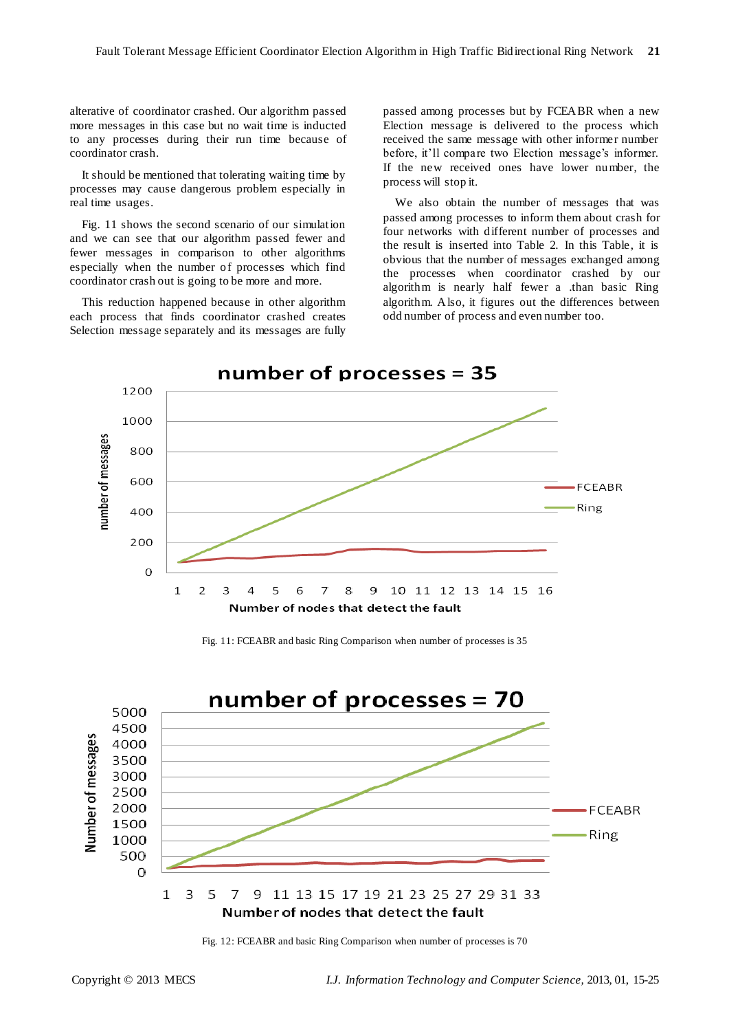alterative of coordinator crashed. Our algorithm passed more messages in this case but no wait time is inducted to any processes during their run time because of coordinator crash.

It should be mentioned that tolerating waiting time by processes may cause dangerous problem especially in real time usages.

Fig. 11 shows the second scenario of our simulation and we can see that our algorithm passed fewer and fewer messages in comparison to other algorithms especially when the number of processes which find coordinator crash out is going to be more and more.

This reduction happened because in other algorithm each process that finds coordinator crashed creates Selection message separately and its messages are fully

passed among processes but by FCEABR when a new Election message is delivered to the process which received the same message with other informer number before, it'll compare two Election message's informer. If the new received ones have lower number, the process will stop it.

We also obtain the number of messages that was passed among processes to inform them about crash for four networks with different number of processes and the result is inserted into Table 2. In this Table, it is obvious that the number of messages exchanged among the processes when coordinator crashed by our algorithm is nearly half fewer a .than basic Ring algorithm. Also, it figures out the differences between odd number of process and even number too.



Fig. 11: FCEABR and basic Ring Comparison when number of processes is 35



Fig. 12: FCEABR and basic Ring Comparison when number of processes is 70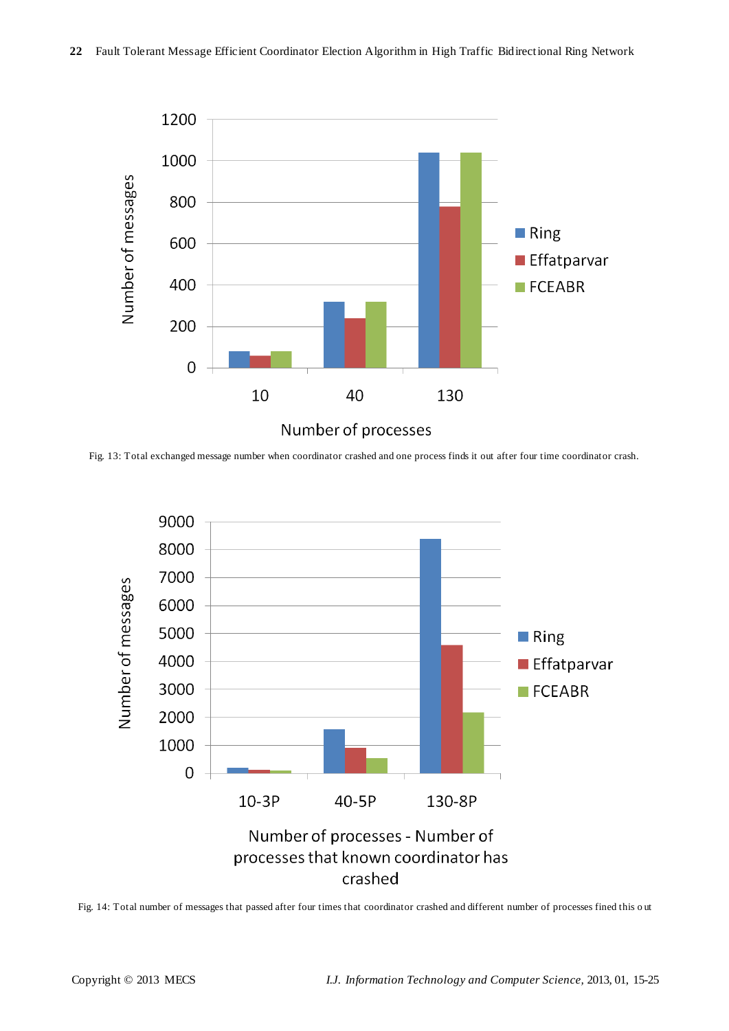

Fig. 13: Total exchanged message number when coordinator crashed and one process finds it out after four time coordinator crash.



Fig. 14: Total number of messages that passed after four times that coordinator crashed and different number of processes fined this o ut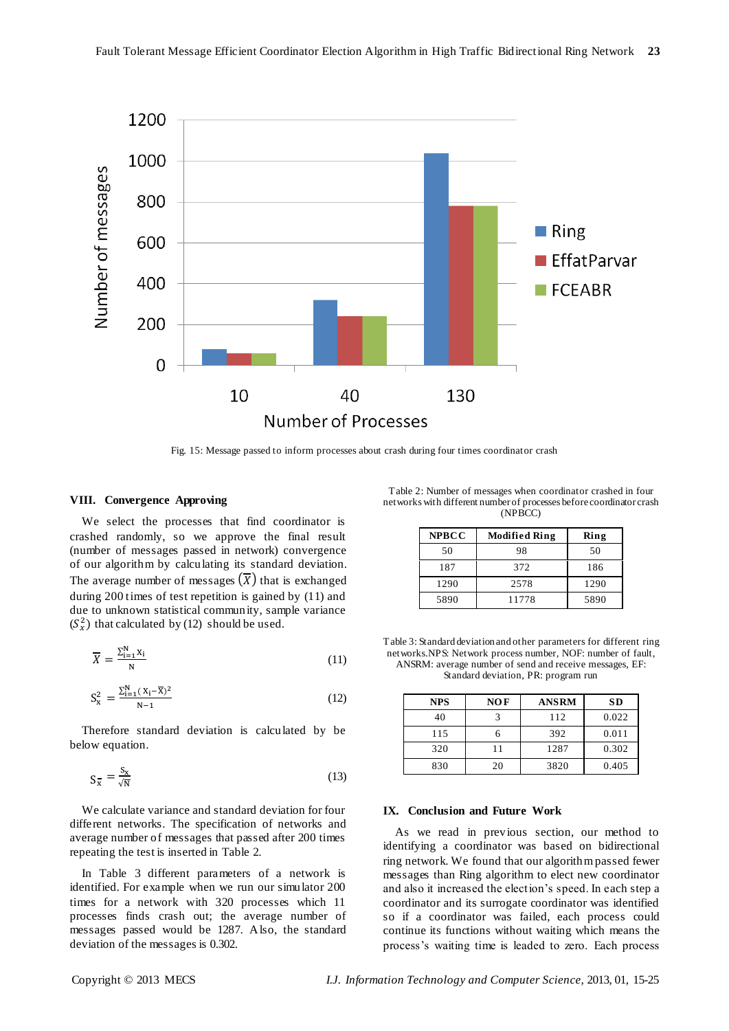

Fig. 15: Message passed to inform processes about crash during four times coordinator crash

#### **VIII. Convergence Approving**

We select the processes that find coordinator is crashed randomly, so we approve the final result (number of messages passed in network) convergence of our algorithm by calculating its standard deviation. The average number of messages  $(X)$  that is exchanged during 200 times of test repetition is gained by (11) and due to unknown statistical community, sample variance  $(S_x^2)$  that calculated by (12) should be used.

$$
\overline{X} = \frac{\sum_{i=1}^{N} X_i}{N}
$$
 (11)

$$
S_{x}^{2} = \frac{\sum_{i=1}^{N} (X_{i} - \overline{X})^{2}}{N - 1}
$$
 (12)

Therefore standard deviation is calculated by be below equation.

$$
S_{\overline{x}} = \frac{S_x}{\sqrt{N}}\tag{13}
$$

We calculate variance and standard deviation for four different networks. The specification of networks and average number of messages that passed after 200 times repeating the test is inserted in Table 2.

In Table 3 different parameters of a network is identified. For example when we run our simulator 200 times for a network with 320 processes which 11 processes finds crash out; the average number of messages passed would be 1287. Also, the standard deviation of the messages is 0.302.

Table 2: Number of messages when coordinator crashed in four networks with different number of processes before coordinator crash (NPBCC)

| <b>NPBCC</b> | <b>Modified Ring</b> | Ring |
|--------------|----------------------|------|
| 50           | 98                   | 50   |
| 187          | 372                  | 186  |
| 1290         | 2578                 | 1290 |
| 5890         | 11778                | 5890 |

Table 3: Standard deviation and other parameters for different ring networks.NPS: Network process number, NOF: number of fault, ANSRM: average number of send and receive messages, EF: Standard deviation, PR: program run

| <b>NPS</b> | $NOF$ | <b>ANSRM</b> | <b>SD</b> |
|------------|-------|--------------|-----------|
| 40         |       | 112          | 0.022     |
| 115        |       | 392          | 0.011     |
| 320        | 11    | 1287         | 0.302     |
| 830        | 20    | 3820         | 0.405     |

### **IX. Conclusion and Future Work**

As we read in previous section, our method to identifying a coordinator was based on bidirectional ring network. We found that our algorithm passed fewer messages than Ring algorithm to elect new coordinator and also it increased the election's speed. In each step a coordinator and its surrogate coordinator was identified so if a coordinator was failed, each process could continue its functions without waiting which means the process's waiting time is leaded to zero. Each process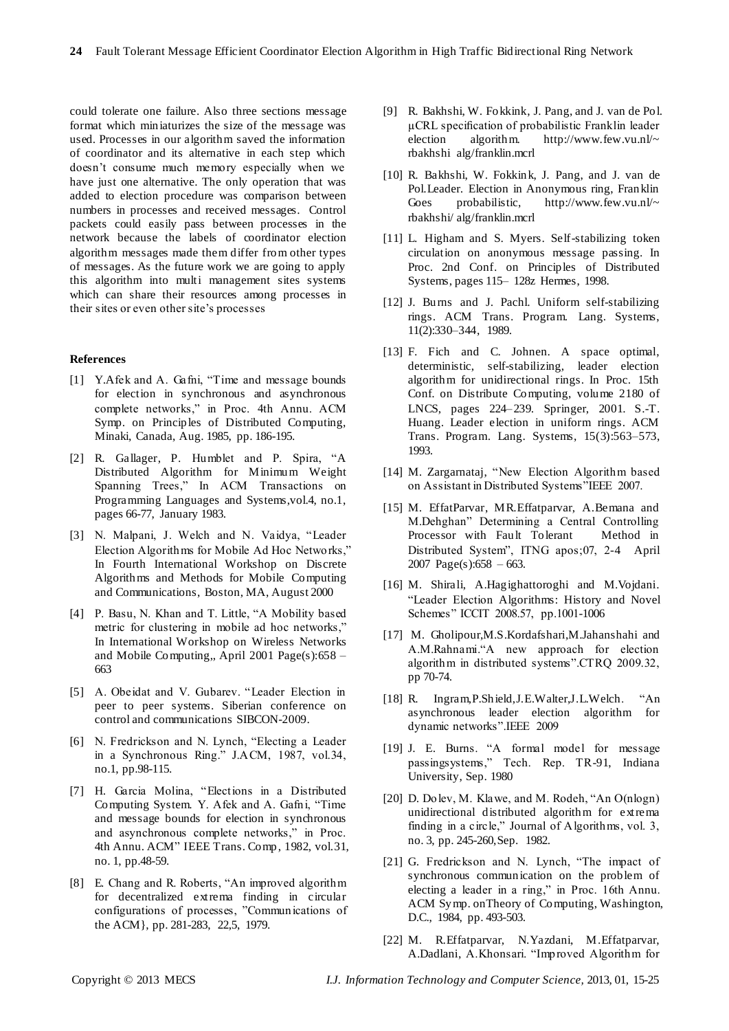could tolerate one failure. Also three sections message format which miniaturizes the size of the message was used. Processes in our algorithm saved the information of coordinator and its alternative in each step which doesn't consume much memory especially when we have just one alternative. The only operation that was added to election procedure was comparison between numbers in processes and received messages. Control packets could easily pass between processes in the network because the labels of coordinator election algorithm messages made them differ from other types of messages. As the future work we are going to apply this algorithm into multi management sites systems which can share their resources among processes in their sites or even other site's processes

#### **References**

- [1] Y.Afek and A. Gafni, "Time and message bounds for election in synchronous and asynchronous complete networks," in Proc. 4th Annu. ACM Symp. on Principles of Distributed Computing, Minaki, Canada, Aug. 1985, pp. 186-195.
- [2] R. Gallager, P. Humblet and P. Spira, "A Distributed Algorithm for Minimum Weight Spanning Trees," In ACM Transactions on Programming Languages and Systems,vol.4, no.1, pages 66-77, January 1983.
- [3] N. Malpani, J. Welch and N. Vaidya, "Leader Election Algorithms for Mobile Ad Hoc Networks," In Fourth International Workshop on Discrete Algorithms and Methods for Mobile Computing and Communications, Boston, MA, August 2000
- [4] P. Basu, N. Khan and T. Little, "A Mobility based metric for clustering in mobile ad hoc networks," In International Workshop on Wireless Networks and Mobile Computing,, April 2001 Page(s):658 – 663
- [5] A. Obeidat and V. Gubarev. "Leader Election in peer to peer systems. Siberian conference on control and communications SIBCON-2009.
- [6] N. Fredrickson and N. Lynch, "Electing a Leader in a Synchronous Ring." J.ACM, 1987, vol.34, no.1, pp.98-115.
- [7] H. Garcia Molina, "Elections in a Distributed Computing System. Y. Afek and A. Gafni, "Time and message bounds for election in synchronous and asynchronous complete networks," in Proc. 4th Annu. ACM" IEEE Trans. Comp, 1982, vol.31, no. 1, pp.48-59.
- [8] E. Chang and R. Roberts, "An improved algorithm for decentralized extrema finding in circular configurations of processes, "Communications of the ACM}, pp. 281-283, 22,5, 1979.
- [9] R. Bakhshi, W. Fokkink, J. Pang, and J. van de Pol.  $\mu$ CRL specification of probabilistic Franklin leader<br>election algorithm. http://www.few.vu.nl/~ election algorithm. http://www.few.vu.nl/~ rbakhshi alg/franklin.mcrl
- [10] R. Bakhshi, W. Fokkink, J. Pang, and J. van de Pol.Leader. Election in Anonymous ring, Franklin Goes probabilistic, http://www.few.vu.nl/~ rbakhshi/ alg/franklin.mcrl
- [11] L. Higham and S. Myers. Self-stabilizing token circulation on anonymous message passing. In Proc. 2nd Conf. on Principles of Distributed Systems, pages 115– 128z Hermes, 1998.
- [12] J. Burns and J. Pachl. Uniform self-stabilizing rings. ACM Trans. Program. Lang. Systems, 11(2):330–344, 1989.
- [13] F. Fich and C. Johnen. A space optimal, deterministic, self-stabilizing, leader election algorithm for unidirectional rings. In Proc. 15th Conf. on Distribute Computing, volume 2180 of LNCS, pages 224–239. Springer, 2001. S.-T. Huang. Leader election in uniform rings. ACM Trans. Program. Lang. Systems, 15(3):563–573, 1993.
- [14] M. Zargarnataj, "New Election Algorithm based on Assistant in Distributed Systems"IEEE 2007.
- [15] M. EffatParvar, MR.Effatparvar, A.Bemana and M.Dehghan" Determining a Central Controlling Processor with Fault Tolerant Method in Distributed System", ITNG apos;07, 2-4 April 2007 Page(s): $658 - 663$ .
- [16] M. Shirali, A.Hagighattoroghi and M.Vojdani. ―Leader Election Algorithms: History and Novel Schemes" ICCIT 2008.57, pp.1001-1006
- [17] M. Gholipour,M.S.Kordafshari,M.Jahanshahi and A.M.Rahnami."A new approach for election algorithm in distributed systems".CTRQ 2009.32, pp 70-74.
- [18] R. Ingram, P.Shield, J.E. Walter, J.L. Welch. "An asynchronous leader election algorithm for dynamic networks".IEEE 2009
- [19] J. E. Burns. "A formal model for message passingsystems," Tech. Rep. TR-91, Indiana University, Sep. 1980
- [20] D. Doley, M. Klawe, and M. Rodeh, "An  $O(n \log n)$ unidirectional distributed algorithm for extrema finding in a circle," Journal of Algorithms, vol.  $3$ , no. 3, pp. 245-260,Sep. 1982.
- [21] G. Fredrickson and N. Lynch, "The impact of synchronous communication on the problem of electing a leader in a ring," in Proc. 16th Annu. ACM Symp. onTheory of Computing, Washington, D.C., 1984, pp. 493-503.
- [22] M. R.Effatparvar, N.Yazdani, M.Effatparvar, A.Dadlani, A.Khonsari. "Improved Algorithm for